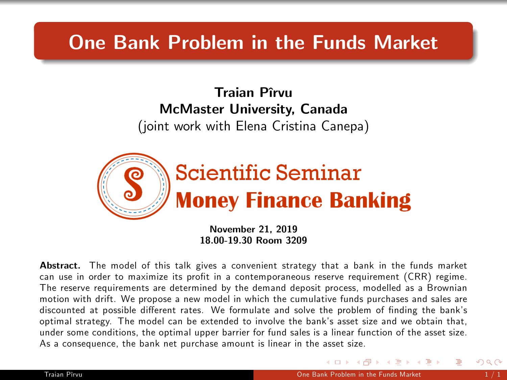## One Bank Problem in the Funds Market

Traian Pîrvu McMaster University, Canada (joint work with Elena Cristina Canepa)



November 21, 2019 18.00-19.30 Room 3209

Abstract. The model of this talk gives a convenient strategy that a bank in the funds market can use in order to maximize its profit in a contemporaneous reserve requirement (CRR) regime. The reserve requirements are determined by the demand deposit process, modelled as a Brownian motion with drift. We propose a new model in which the cumulative funds purchases and sales are discounted at possible different rates. We formulate and solve the problem of finding the bank's optimal strategy. The model can be extended to involve the bankís asset size and we obtain that, under some conditions, the optimal upper barrier for fund sales is a linear function of the asset size. As a consequence, the bank net purchase amount is linear in the asset size.

<span id="page-0-0"></span>→ 何 ▶ → ヨ ▶ → ヨ ▶